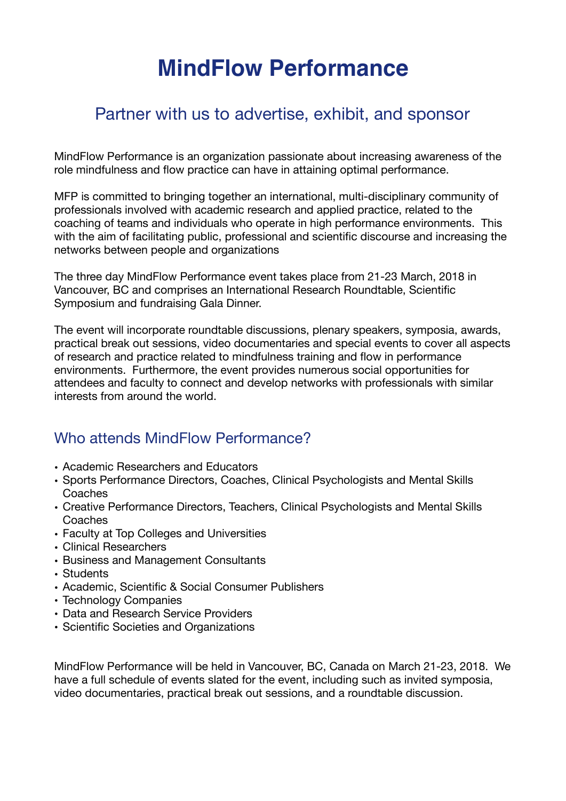# **MindFlow Performance**

# Partner with us to advertise, exhibit, and sponsor

MindFlow Performance is an organization passionate about increasing awareness of the role mindfulness and flow practice can have in attaining optimal performance.

MFP is committed to bringing together an international, multi-disciplinary community of professionals involved with academic research and applied practice, related to the coaching of teams and individuals who operate in high performance environments. This with the aim of facilitating public, professional and scientific discourse and increasing the networks between people and organizations

The three day MindFlow Performance event takes place from 21-23 March, 2018 in Vancouver, BC and comprises an International Research Roundtable, Scientific Symposium and fundraising Gala Dinner.

The event will incorporate roundtable discussions, plenary speakers, symposia, awards, practical break out sessions, video documentaries and special events to cover all aspects of research and practice related to mindfulness training and flow in performance environments. Furthermore, the event provides numerous social opportunities for attendees and faculty to connect and develop networks with professionals with similar interests from around the world.

# Who attends MindFlow Performance?

- Academic Researchers and Educators
- Sports Performance Directors, Coaches, Clinical Psychologists and Mental Skills **Coaches**
- Creative Performance Directors, Teachers, Clinical Psychologists and Mental Skills Coaches
- Faculty at Top Colleges and Universities
- Clinical Researchers
- Business and Management Consultants
- Students
- Academic, Scientific & Social Consumer Publishers
- Technology Companies
- Data and Research Service Providers
- Scientific Societies and Organizations

MindFlow Performance will be held in Vancouver, BC, Canada on March 21-23, 2018. We have a full schedule of events slated for the event, including such as invited symposia, video documentaries, practical break out sessions, and a roundtable discussion.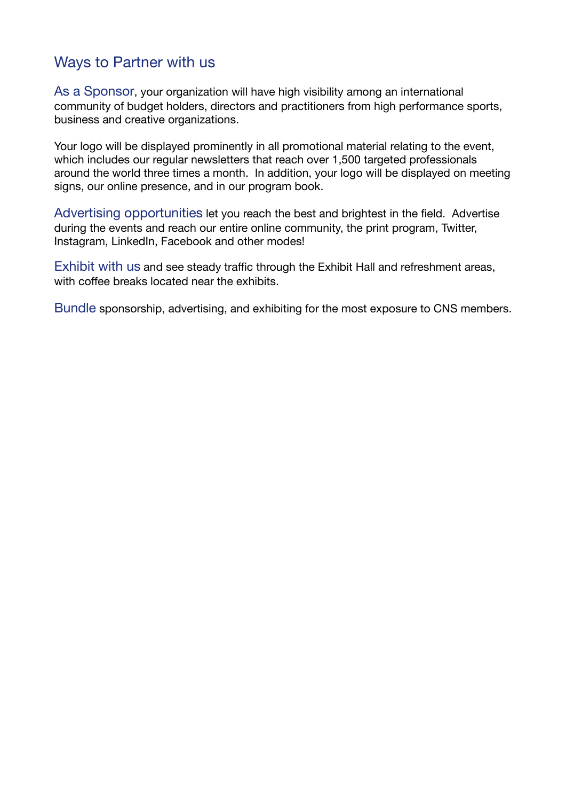# Ways to Partner with us

As a Sponsor, your organization will have high visibility among an international community of budget holders, directors and practitioners from high performance sports, business and creative organizations.

Your logo will be displayed prominently in all promotional material relating to the event, which includes our regular newsletters that reach over 1,500 targeted professionals around the world three times a month. In addition, your logo will be displayed on meeting signs, our online presence, and in our program book.

Advertising opportunities let you reach the best and brightest in the field. Advertise during the events and reach our entire online community, the print program, Twitter, Instagram, LinkedIn, Facebook and other modes!

Exhibit with us and see steady traffic through the Exhibit Hall and refreshment areas, with coffee breaks located near the exhibits.

Bundle sponsorship, advertising, and exhibiting for the most exposure to CNS members.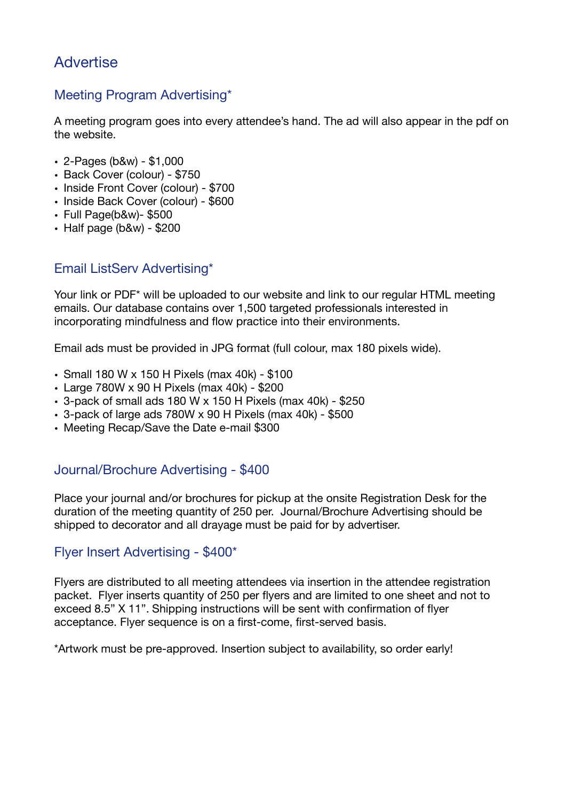# **Advertise**

# Meeting Program Advertising\*

A meeting program goes into every attendee's hand. The ad will also appear in the pdf on the website.

- 2-Pages (b&w) \$1,000
- Back Cover (colour) \$750
- Inside Front Cover (colour) \$700
- Inside Back Cover (colour) \$600
- Full Page(b&w)- \$500
- $\cdot$  Half page (b&w) \$200

# Email ListServ Advertising\*

Your link or PDF\* will be uploaded to our website and link to our regular HTML meeting emails. Our database contains over 1,500 targeted professionals interested in incorporating mindfulness and flow practice into their environments.

Email ads must be provided in JPG format (full colour, max 180 pixels wide).

- Small 180 W x 150 H Pixels (max 40k) \$100
- Large 780W x 90 H Pixels (max 40k) \$200
- 3-pack of small ads 180 W x 150 H Pixels (max 40k) \$250
- 3-pack of large ads 780W x 90 H Pixels (max 40k) \$500
- Meeting Recap/Save the Date e-mail \$300

### Journal/Brochure Advertising - \$400

Place your journal and/or brochures for pickup at the onsite Registration Desk for the duration of the meeting quantity of 250 per. Journal/Brochure Advertising should be shipped to decorator and all drayage must be paid for by advertiser.

#### Flyer Insert Advertising - \$400\*

Flyers are distributed to all meeting attendees via insertion in the attendee registration packet. Flyer inserts quantity of 250 per flyers and are limited to one sheet and not to exceed 8.5" X 11". Shipping instructions will be sent with confirmation of flyer acceptance. Flyer sequence is on a first-come, first-served basis.

\*Artwork must be pre-approved. Insertion subject to availability, so order early!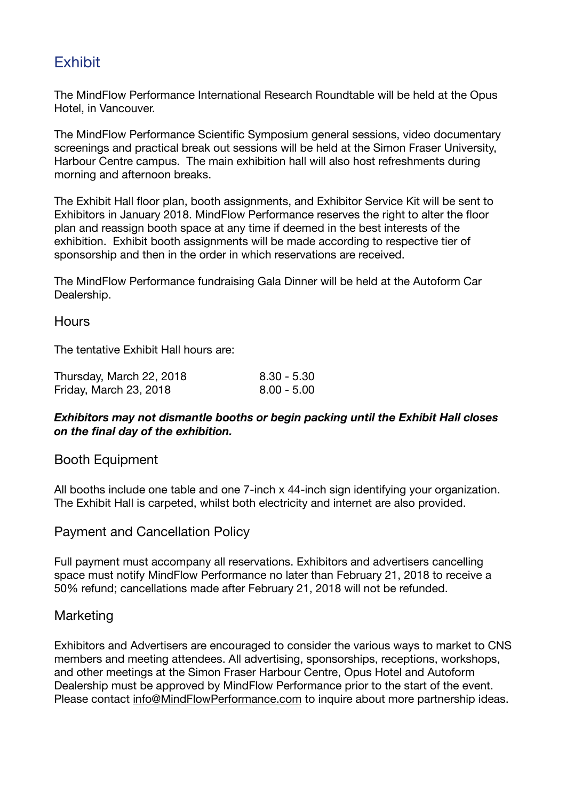# **Exhibit**

The MindFlow Performance International Research Roundtable will be held at the Opus Hotel, in Vancouver.

The MindFlow Performance Scientific Symposium general sessions, video documentary screenings and practical break out sessions will be held at the Simon Fraser University, Harbour Centre campus. The main exhibition hall will also host refreshments during morning and afternoon breaks.

The Exhibit Hall floor plan, booth assignments, and Exhibitor Service Kit will be sent to Exhibitors in January 2018. MindFlow Performance reserves the right to alter the floor plan and reassign booth space at any time if deemed in the best interests of the exhibition. Exhibit booth assignments will be made according to respective tier of sponsorship and then in the order in which reservations are received.

The MindFlow Performance fundraising Gala Dinner will be held at the Autoform Car Dealership.

#### **Hours**

The tentative Exhibit Hall hours are:

| Thursday, March 22, 2018 | 8.30 - 5.30   |
|--------------------------|---------------|
| Friday, March 23, 2018   | $8.00 - 5.00$ |

#### *Exhibitors may not dismantle booths or begin packing until the Exhibit Hall closes on the final day of the exhibition.*

#### Booth Equipment

All booths include one table and one 7-inch x 44-inch sign identifying your organization. The Exhibit Hall is carpeted, whilst both electricity and internet are also provided.

#### Payment and Cancellation Policy

Full payment must accompany all reservations. Exhibitors and advertisers cancelling space must notify MindFlow Performance no later than February 21, 2018 to receive a 50% refund; cancellations made after February 21, 2018 will not be refunded.

#### Marketing

Exhibitors and Advertisers are encouraged to consider the various ways to market to CNS members and meeting attendees. All advertising, sponsorships, receptions, workshops, and other meetings at the Simon Fraser Harbour Centre, Opus Hotel and Autoform Dealership must be approved by MindFlow Performance prior to the start of the event. Please contact [info@MindFlowPerformance.com](mailto:info@MindFlowPerformance.com) to inquire about more partnership ideas.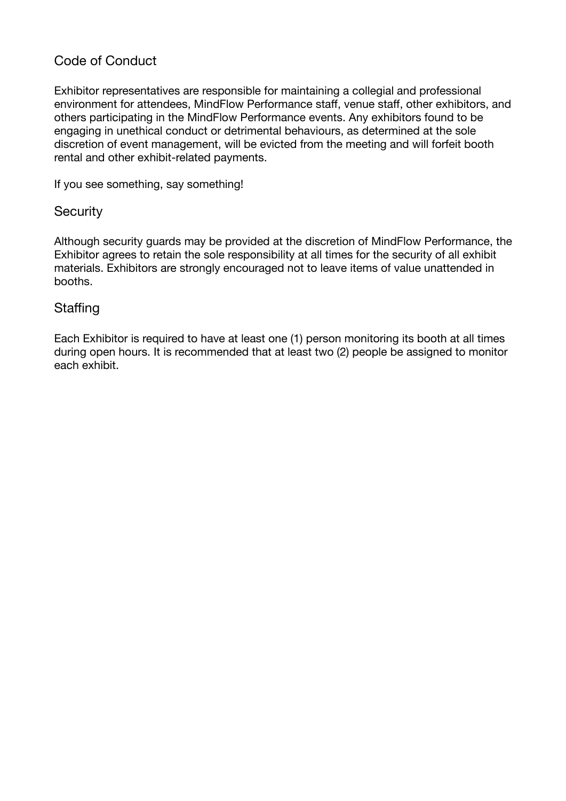## Code of Conduct

Exhibitor representatives are responsible for maintaining a collegial and professional environment for attendees, MindFlow Performance staff, venue staff, other exhibitors, and others participating in the MindFlow Performance events. Any exhibitors found to be engaging in unethical conduct or detrimental behaviours, as determined at the sole discretion of event management, will be evicted from the meeting and will forfeit booth rental and other exhibit-related payments.

If you see something, say something!

#### **Security**

Although security guards may be provided at the discretion of MindFlow Performance, the Exhibitor agrees to retain the sole responsibility at all times for the security of all exhibit materials. Exhibitors are strongly encouraged not to leave items of value unattended in booths.

#### **Staffing**

Each Exhibitor is required to have at least one (1) person monitoring its booth at all times during open hours. It is recommended that at least two (2) people be assigned to monitor each exhibit.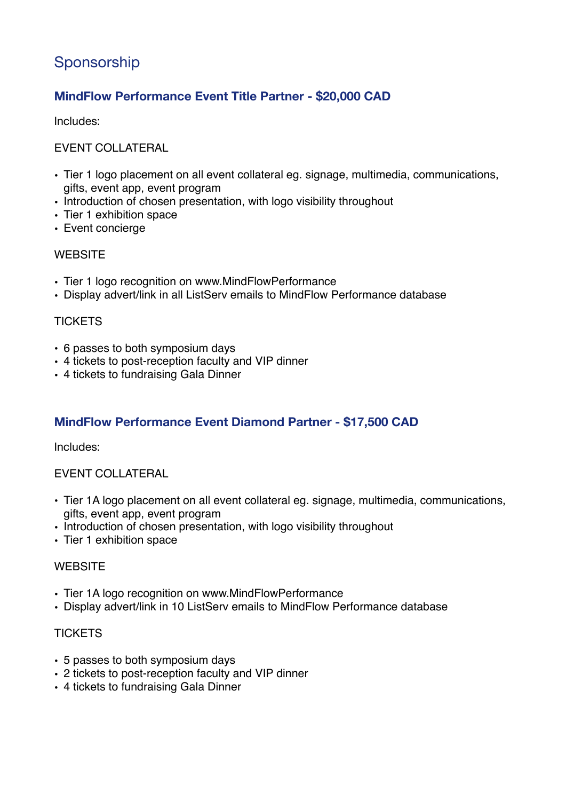# Sponsorship

# **MindFlow Performance Event Title Partner - \$20,000 CAD**

Includes:

#### EVENT COLLATERAL

- Tier 1 logo placement on all event collateral eg. signage, multimedia, communications, gifts, event app, event program
- Introduction of chosen presentation, with logo visibility throughout
- Tier 1 exhibition space
- Event concierge

#### **WEBSITE**

- Tier 1 logo recognition on www.MindFlowPerformance
- Display advert/link in all ListServ emails to MindFlow Performance database

#### **TICKETS**

- 6 passes to both symposium days
- 4 tickets to post-reception faculty and VIP dinner
- 4 tickets to fundraising Gala Dinner

#### **MindFlow Performance Event Diamond Partner - \$17,500 CAD**

Includes:

#### EVENT COLLATERAL

- Tier 1A logo placement on all event collateral eg. signage, multimedia, communications, gifts, event app, event program
- Introduction of chosen presentation, with logo visibility throughout
- Tier 1 exhibition space

#### **WEBSITE**

- Tier 1A logo recognition on www.MindFlowPerformance
- Display advert/link in 10 ListServ emails to MindFlow Performance database

#### **TICKETS**

- 5 passes to both symposium days
- 2 tickets to post-reception faculty and VIP dinner
- 4 tickets to fundraising Gala Dinner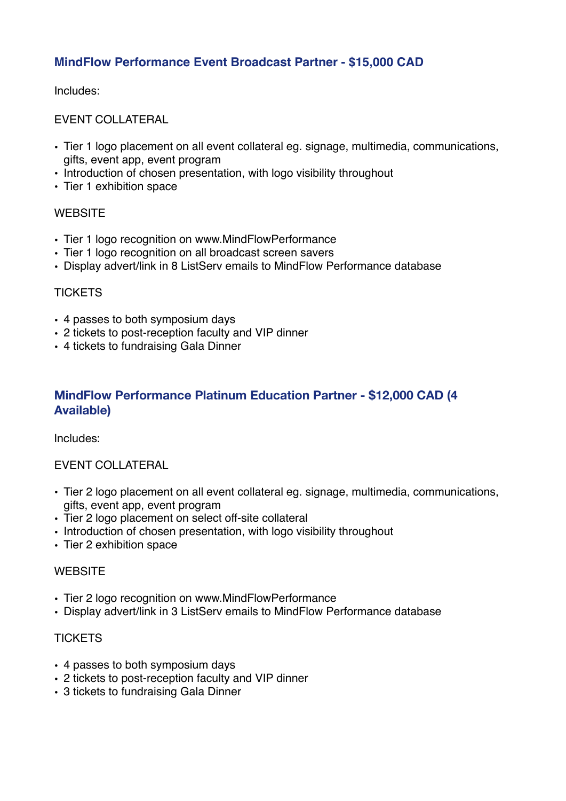## **MindFlow Performance Event Broadcast Partner - \$15,000 CAD**

Includes:

EVENT COLLATERAL

- Tier 1 logo placement on all event collateral eg. signage, multimedia, communications, gifts, event app, event program
- Introduction of chosen presentation, with logo visibility throughout
- Tier 1 exhibition space

#### **WEBSITE**

- Tier 1 logo recognition on www.MindFlowPerformance
- Tier 1 logo recognition on all broadcast screen savers
- Display advert/link in 8 ListServ emails to MindFlow Performance database

#### **TICKETS**

- 4 passes to both symposium days
- 2 tickets to post-reception faculty and VIP dinner
- 4 tickets to fundraising Gala Dinner

### **MindFlow Performance Platinum Education Partner - \$12,000 CAD (4 Available)**

Includes:

#### EVENT COLLATERAL

- Tier 2 logo placement on all event collateral eg. signage, multimedia, communications, gifts, event app, event program
- Tier 2 logo placement on select off-site collateral
- Introduction of chosen presentation, with logo visibility throughout
- Tier 2 exhibition space

#### **WEBSITE**

- Tier 2 logo recognition on www.MindFlowPerformance
- Display advert/link in 3 ListServ emails to MindFlow Performance database

#### **TICKETS**

- 4 passes to both symposium days
- 2 tickets to post-reception faculty and VIP dinner
- 3 tickets to fundraising Gala Dinner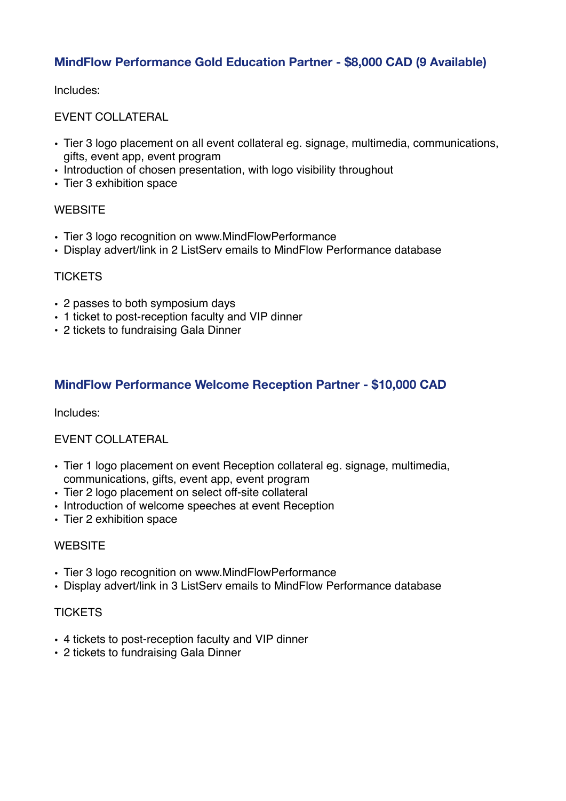## **MindFlow Performance Gold Education Partner - \$8,000 CAD (9 Available)**

Includes:

EVENT COLLATERAL

- Tier 3 logo placement on all event collateral eg. signage, multimedia, communications, gifts, event app, event program
- Introduction of chosen presentation, with logo visibility throughout
- Tier 3 exhibition space

#### **WEBSITE**

- Tier 3 logo recognition on www.MindFlowPerformance
- Display advert/link in 2 ListServ emails to MindFlow Performance database

#### **TICKETS**

- 2 passes to both symposium days
- 1 ticket to post-reception faculty and VIP dinner
- 2 tickets to fundraising Gala Dinner

### **MindFlow Performance Welcome Reception Partner - \$10,000 CAD**

Includes:

#### EVENT COLLATERAL

- Tier 1 logo placement on event Reception collateral eg. signage, multimedia, communications, gifts, event app, event program
- Tier 2 logo placement on select off-site collateral
- Introduction of welcome speeches at event Reception
- Tier 2 exhibition space

#### **WEBSITE**

- Tier 3 logo recognition on www.MindFlowPerformance
- Display advert/link in 3 ListServ emails to MindFlow Performance database

#### **TICKFTS**

- 4 tickets to post-reception faculty and VIP dinner
- 2 tickets to fundraising Gala Dinner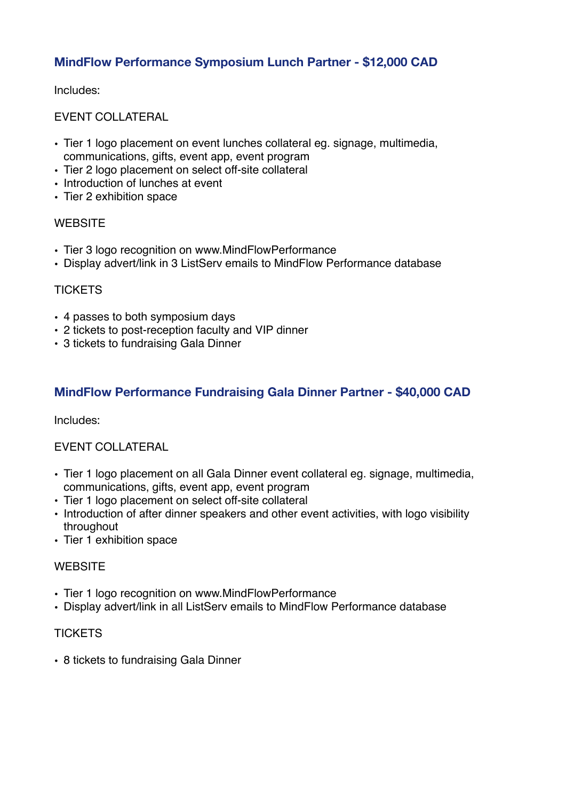## **MindFlow Performance Symposium Lunch Partner - \$12,000 CAD**

Includes:

EVENT COLLATERAL

- Tier 1 logo placement on event lunches collateral eg. signage, multimedia, communications, gifts, event app, event program
- Tier 2 logo placement on select off-site collateral
- Introduction of lunches at event
- Tier 2 exhibition space

#### **WEBSITE**

- Tier 3 logo recognition on www.MindFlowPerformance
- Display advert/link in 3 ListServ emails to MindFlow Performance database

#### **TICKETS**

- 4 passes to both symposium days
- 2 tickets to post-reception faculty and VIP dinner
- 3 tickets to fundraising Gala Dinner

### **MindFlow Performance Fundraising Gala Dinner Partner - \$40,000 CAD**

Includes:

#### EVENT COLLATERAL

- Tier 1 logo placement on all Gala Dinner event collateral eg. signage, multimedia, communications, gifts, event app, event program
- Tier 1 logo placement on select off-site collateral
- Introduction of after dinner speakers and other event activities, with logo visibility throughout
- Tier 1 exhibition space

#### **WEBSITE**

- Tier 1 logo recognition on www.MindFlowPerformance
- Display advert/link in all ListServ emails to MindFlow Performance database

#### **TICKETS**

• 8 tickets to fundraising Gala Dinner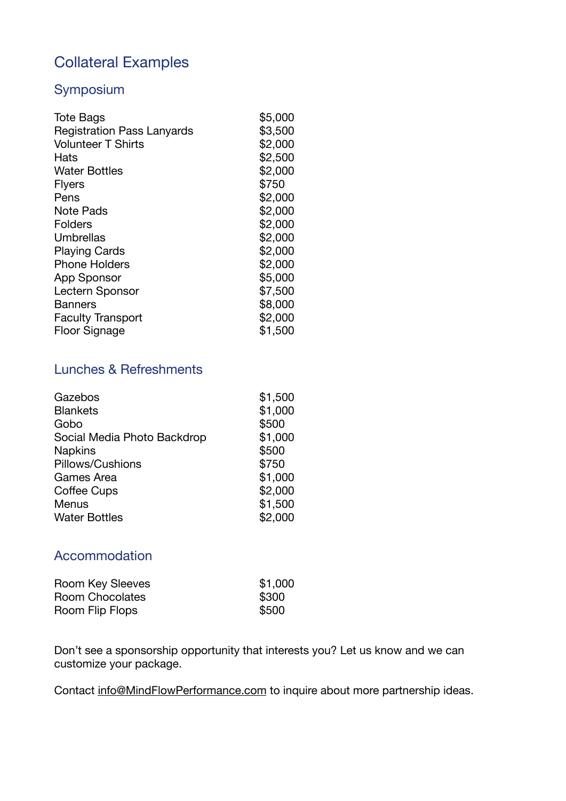# Collateral Examples

### Symposium

| <b>Tote Bags</b>                  | \$5,000 |
|-----------------------------------|---------|
| <b>Registration Pass Lanyards</b> | \$3,500 |
| <b>Volunteer T Shirts</b>         | \$2,000 |
| Hats                              | \$2,500 |
| <b>Water Bottles</b>              | \$2,000 |
| <b>Flyers</b>                     | \$750   |
| Pens                              | \$2,000 |
| Note Pads                         | \$2,000 |
| <b>Folders</b>                    | \$2,000 |
| Umbrellas                         | \$2,000 |
| <b>Playing Cards</b>              | \$2,000 |
| <b>Phone Holders</b>              | \$2,000 |
| App Sponsor                       | \$5,000 |
| Lectern Sponsor                   | \$7,500 |
| <b>Banners</b>                    | \$8,000 |
| <b>Faculty Transport</b>          | \$2,000 |
| <b>Floor Signage</b>              | \$1,500 |

# Lunches & Refreshments

| Gazebos                     | \$1,500 |
|-----------------------------|---------|
| <b>Blankets</b>             | \$1,000 |
| Gobo                        | \$500   |
| Social Media Photo Backdrop | \$1,000 |
| <b>Napkins</b>              | \$500   |
| Pillows/Cushions            | \$750   |
| Games Area                  | \$1,000 |
| <b>Coffee Cups</b>          | \$2,000 |
| Menus                       | \$1,500 |
| <b>Water Bottles</b>        | \$2,000 |

# Accommodation

| Room Key Sleeves | \$1,000 |
|------------------|---------|
| Room Chocolates  | \$300   |
| Room Flip Flops  | \$500   |

Don't see a sponsorship opportunity that interests you? Let us know and we can customize your package.

Contact [info@MindFlowPerformance.com](mailto:info@MindFlowPerformance.com) to inquire about more partnership ideas.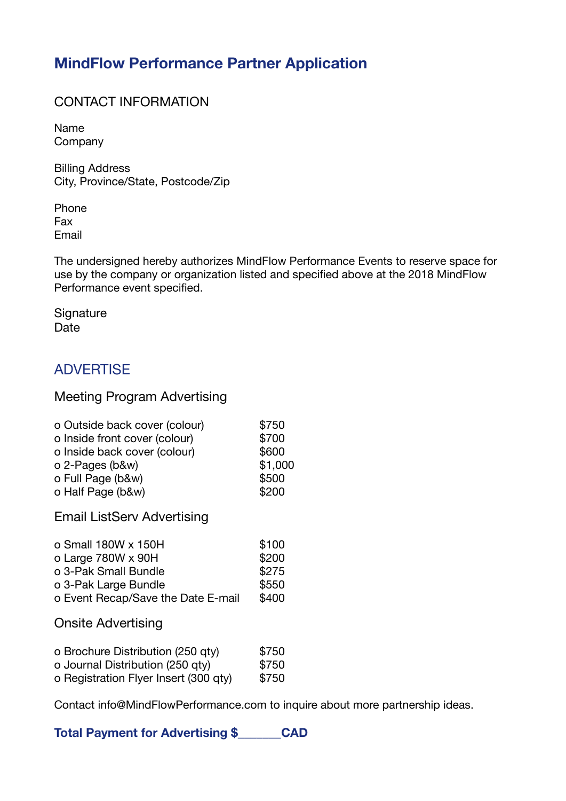# **MindFlow Performance Partner Application**

### CONTACT INFORMATION

Name **Company** 

Billing Address City, Province/State, Postcode/Zip

Phone Fax Email

The undersigned hereby authorizes MindFlow Performance Events to reserve space for use by the company or organization listed and specified above at the 2018 MindFlow Performance event specified.

**Signature** Date

# **ADVERTISE**

### Meeting Program Advertising

| \$750   |
|---------|
| \$700   |
| \$600   |
| \$1,000 |
| \$500   |
| \$200   |
|         |

Email ListServ Advertising

| o Small 180W x 150H                | \$100 |
|------------------------------------|-------|
| o Large $780W \times 90H$          | \$200 |
| o 3-Pak Small Bundle               | \$275 |
| o 3-Pak Large Bundle               | \$550 |
| o Event Recap/Save the Date E-mail | \$400 |

Onsite Advertising

| o Brochure Distribution (250 qty)     | \$750 |
|---------------------------------------|-------|
| o Journal Distribution (250 qty)      | \$750 |
| o Registration Flyer Insert (300 qty) | \$750 |

Contact info@MindFlowPerformance.com to inquire about more partnership ideas.

**Total Payment for Advertising \$\_\_\_\_\_\_\_CAD**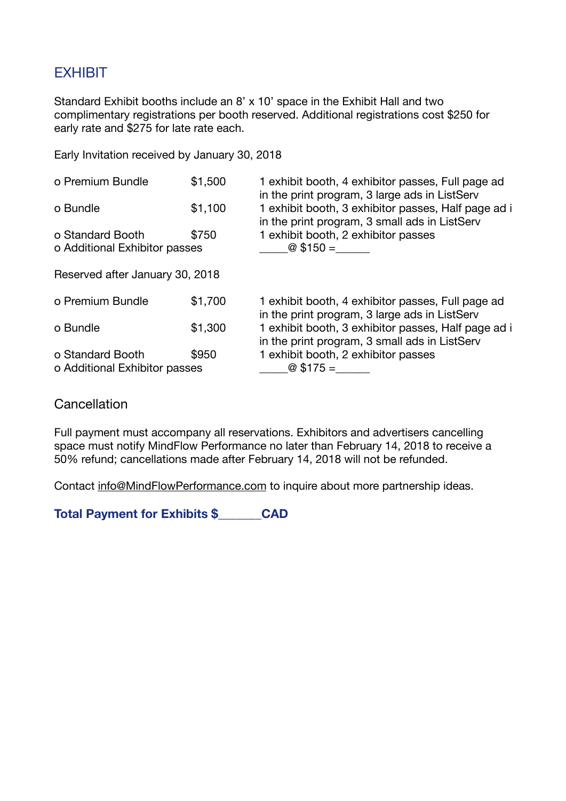# **EXHIBIT**

Standard Exhibit booths include an 8' x 10' space in the Exhibit Hall and two complimentary registrations per booth reserved. Additional registrations cost \$250 for early rate and \$275 for late rate each.

Early Invitation received by January 30, 2018

| o Premium Bundle                                  | \$1,500 | 1 exhibit booth, 4 exhibitor passes, Full page ad<br>in the print program, 3 large ads in ListServ   |
|---------------------------------------------------|---------|------------------------------------------------------------------------------------------------------|
| o Bundle                                          | \$1,100 | 1 exhibit booth, 3 exhibitor passes, Half page ad i<br>in the print program, 3 small ads in ListServ |
| o Standard Booth<br>o Additional Exhibitor passes | \$750   | 1 exhibit booth, 2 exhibitor passes<br>$\omega$ \$150 =                                              |
| Reserved after January 30, 2018                   |         |                                                                                                      |
| o Premium Bundle                                  | \$1,700 | 1 exhibit booth, 4 exhibitor passes, Full page ad<br>in the print program, 3 large ads in ListServ   |
| o Bundle                                          | \$1,300 | 1 exhibit booth, 3 exhibitor passes, Half page ad i<br>in the print program, 3 small ads in ListServ |
| o Standard Booth                                  | \$950   | 1 exhibit booth, 2 exhibitor passes                                                                  |
| o Additional Exhibitor passes                     |         | $@$175=$                                                                                             |

#### **Cancellation**

Full payment must accompany all reservations. Exhibitors and advertisers cancelling space must notify MindFlow Performance no later than February 14, 2018 to receive a 50% refund; cancellations made after February 14, 2018 will not be refunded.

Contact [info@MindFlowPerformance.com](mailto:info@MindFlowPerformance.com) to inquire about more partnership ideas.

**Total Payment for Exhibits \$\_\_\_\_\_\_\_CAD**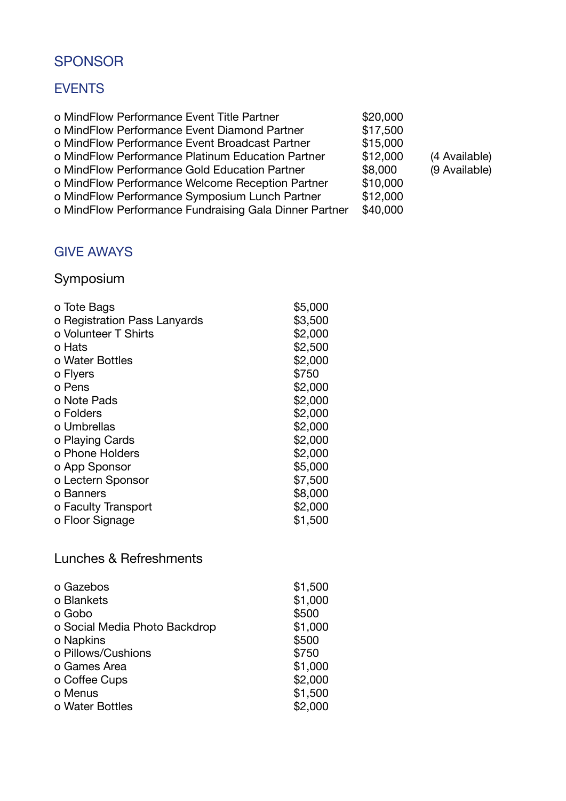# SPONSOR

# EVENTS

| \$20,000 |               |
|----------|---------------|
| \$17,500 |               |
| \$15,000 |               |
| \$12,000 | (4 Available) |
| \$8,000  | (9 Available) |
| \$10,000 |               |
| \$12,000 |               |
| \$40,000 |               |
|          |               |

# GIVE AWAYS

# Symposium

| o Tote Bags                  | \$5,000 |
|------------------------------|---------|
| o Registration Pass Lanyards | \$3,500 |
| o Volunteer T Shirts         | \$2,000 |
| o Hats                       | \$2,500 |
| o Water Bottles              | \$2,000 |
| o Flyers                     | \$750   |
| o Pens                       | \$2,000 |
| o Note Pads                  | \$2,000 |
| o Folders                    | \$2,000 |
| o Umbrellas                  | \$2,000 |
| o Playing Cards              | \$2,000 |
| o Phone Holders              | \$2,000 |
| o App Sponsor                | \$5,000 |
| o Lectern Sponsor            | \$7,500 |
| o Banners                    | \$8,000 |
| o Faculty Transport          | \$2,000 |
| o Floor Signage              | \$1,500 |
|                              |         |

# Lunches & Refreshments

| o Gazebos                     | \$1,500 |
|-------------------------------|---------|
| o Blankets                    | \$1,000 |
| o Gobo                        | \$500   |
| o Social Media Photo Backdrop | \$1,000 |
| o Napkins                     | \$500   |
| o Pillows/Cushions            | \$750   |
| o Games Area                  | \$1,000 |
| o Coffee Cups                 | \$2,000 |
| o Menus                       | \$1,500 |
| o Water Bottles               | \$2,000 |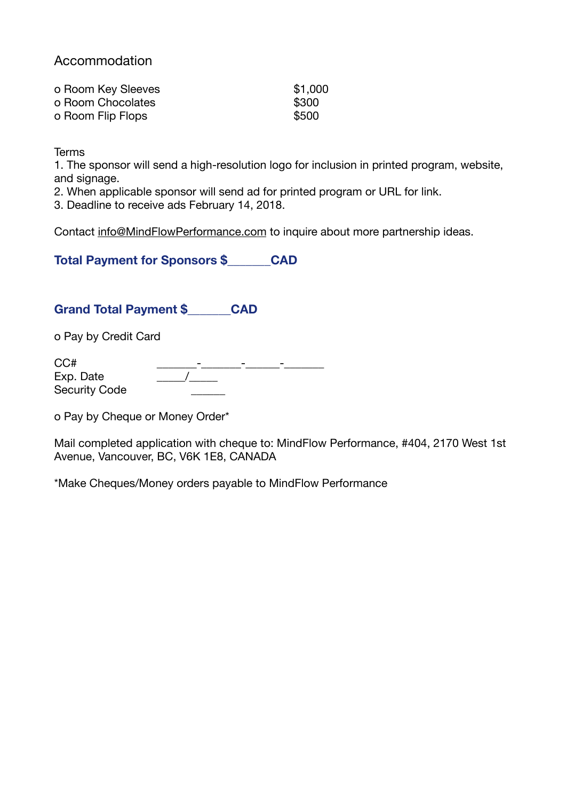### Accommodation

| o Room Key Sleeves | \$1,000 |
|--------------------|---------|
| o Room Chocolates  | \$300   |
| o Room Flip Flops  | \$500   |

**Terms** 

1. The sponsor will send a high-resolution logo for inclusion in printed program, website, and signage.

2. When applicable sponsor will send ad for printed program or URL for link.

3. Deadline to receive ads February 14, 2018.

Contact [info@MindFlowPerformance.com](mailto:info@MindFlowPerformance.com) to inquire about more partnership ideas.

**Total Payment for Sponsors \$\_\_\_\_\_\_\_CAD**

#### **Grand Total Payment \$\_\_\_\_\_\_\_CAD**

o Pay by Credit Card

| CC#           |  |
|---------------|--|
| Exp. Date     |  |
| Security Code |  |

o Pay by Cheque or Money Order\*

Mail completed application with cheque to: MindFlow Performance, #404, 2170 West 1st Avenue, Vancouver, BC, V6K 1E8, CANADA

\*Make Cheques/Money orders payable to MindFlow Performance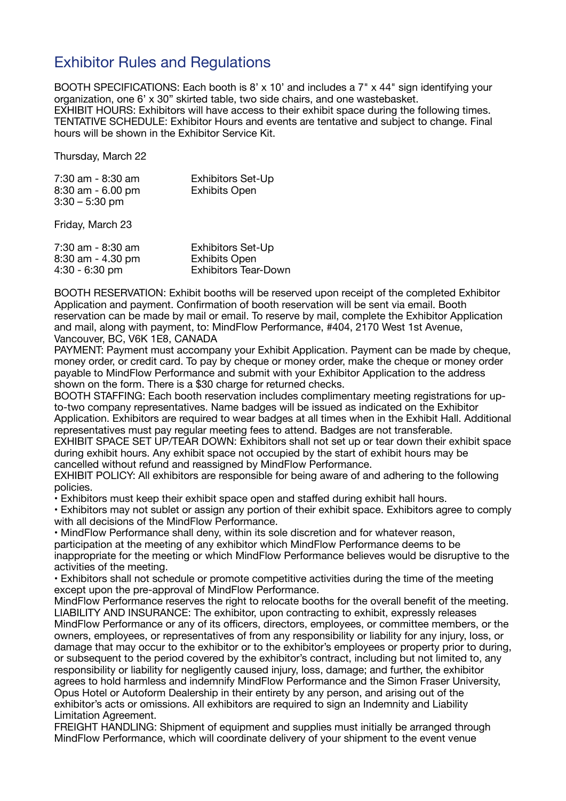# Exhibitor Rules and Regulations

BOOTH SPECIFICATIONS: Each booth is 8' x 10' and includes a 7" x 44" sign identifying your organization, one 6' x 30" skirted table, two side chairs, and one wastebasket. EXHIBIT HOURS: Exhibitors will have access to their exhibit space during the following times. TENTATIVE SCHEDULE: Exhibitor Hours and events are tentative and subject to change. Final hours will be shown in the Exhibitor Service Kit.

Thursday, March 22

| 7:30 am - 8:30 am   | <b>Exhibitors Set-Up</b> |
|---------------------|--------------------------|
| $8:30$ am - 6.00 pm | <b>Exhibits Open</b>     |
| $3:30 - 5:30$ pm    |                          |

Friday, March 23

| 7:30 am - 8:30 am   | <b>Exhibitors Set-Up</b>    |
|---------------------|-----------------------------|
| $8:30$ am - 4.30 pm | <b>Exhibits Open</b>        |
| $4:30 - 6:30$ pm    | <b>Exhibitors Tear-Down</b> |

BOOTH RESERVATION: Exhibit booths will be reserved upon receipt of the completed Exhibitor Application and payment. Confirmation of booth reservation will be sent via email. Booth reservation can be made by mail or email. To reserve by mail, complete the Exhibitor Application and mail, along with payment, to: MindFlow Performance, #404, 2170 West 1st Avenue, Vancouver, BC, V6K 1E8, CANADA

PAYMENT: Payment must accompany your Exhibit Application. Payment can be made by cheque, money order, or credit card. To pay by cheque or money order, make the cheque or money order payable to MindFlow Performance and submit with your Exhibitor Application to the address shown on the form. There is a \$30 charge for returned checks.

BOOTH STAFFING: Each booth reservation includes complimentary meeting registrations for upto-two company representatives. Name badges will be issued as indicated on the Exhibitor Application. Exhibitors are required to wear badges at all times when in the Exhibit Hall. Additional representatives must pay regular meeting fees to attend. Badges are not transferable.

EXHIBIT SPACE SET UP/TEAR DOWN: Exhibitors shall not set up or tear down their exhibit space during exhibit hours. Any exhibit space not occupied by the start of exhibit hours may be cancelled without refund and reassigned by MindFlow Performance.

EXHIBIT POLICY: All exhibitors are responsible for being aware of and adhering to the following policies.

• Exhibitors must keep their exhibit space open and staffed during exhibit hall hours.

• Exhibitors may not sublet or assign any portion of their exhibit space. Exhibitors agree to comply with all decisions of the MindFlow Performance.

• MindFlow Performance shall deny, within its sole discretion and for whatever reason, participation at the meeting of any exhibitor which MindFlow Performance deems to be inappropriate for the meeting or which MindFlow Performance believes would be disruptive to the activities of the meeting.

• Exhibitors shall not schedule or promote competitive activities during the time of the meeting except upon the pre-approval of MindFlow Performance.

MindFlow Performance reserves the right to relocate booths for the overall benefit of the meeting. LIABILITY AND INSURANCE: The exhibitor, upon contracting to exhibit, expressly releases MindFlow Performance or any of its officers, directors, employees, or committee members, or the owners, employees, or representatives of from any responsibility or liability for any injury, loss, or damage that may occur to the exhibitor or to the exhibitor's employees or property prior to during, or subsequent to the period covered by the exhibitor's contract, including but not limited to, any responsibility or liability for negligently caused injury, loss, damage; and further, the exhibitor agrees to hold harmless and indemnify MindFlow Performance and the Simon Fraser University, Opus Hotel or Autoform Dealership in their entirety by any person, and arising out of the exhibitor's acts or omissions. All exhibitors are required to sign an Indemnity and Liability Limitation Agreement.

FREIGHT HANDLING: Shipment of equipment and supplies must initially be arranged through MindFlow Performance, which will coordinate delivery of your shipment to the event venue